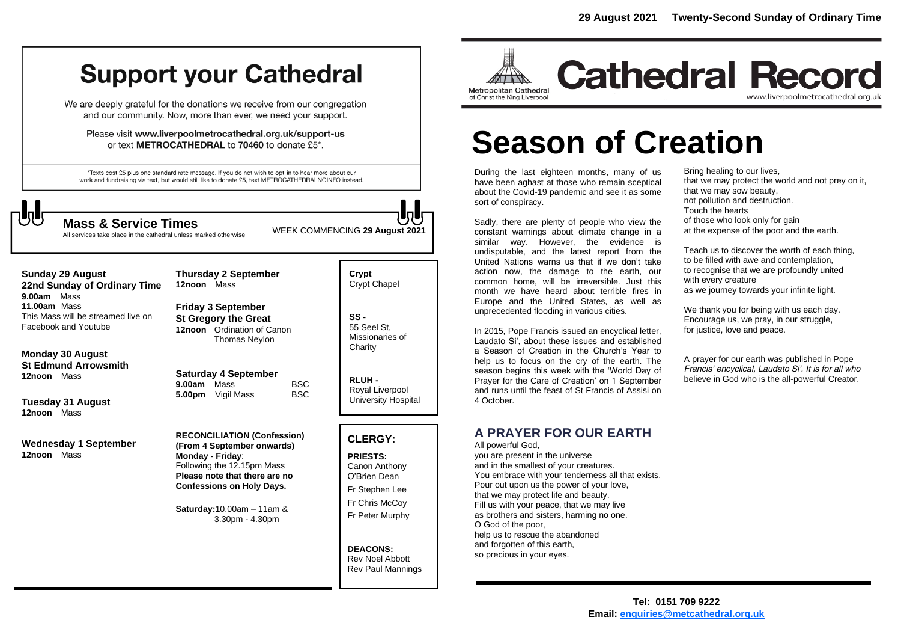# **Support your Cathedral**

We are deeply grateful for the donations we receive from our congregation and our community. Now, more than ever, we need your support.

Please visit www.liverpoolmetrocathedral.org.uk/support-us or text METROCATHEDRAL to 70460 to donate £5\*.

\*Texts cost £5 plus one standard rate message. If you do not wish to opt-in to hear more about our work and fundraising via text, but would still like to donate £5, text METROCATHEDRALNOINFO instead.

WEEK COMMENCING **<sup>29</sup> August 2021 Mass & Service Times** All services take place in the cathedral unless marked otherwise

#### **Sunday 29 August 22nd Sunday of Ordinary Time 9.00am** Mass **11.00am** Mass

This Mass will be streamed live on Facebook and Youtube

**Monday 30 August St Edmund Arrowsmith 12noon** Mass

**Tuesday 31 August 12noon** Mass

**Wednesday 1 September 12noon** Mass

**Thursday 2 September 12noon** Mass

**Friday 3 September St Gregory the Great 12noon** Ordination of Canon Thomas Neylon

**Saturday 4 September 9.00am** Mass BSC<br>**5.00pm** Vigil Mass BSC **5.00pm** Vigil Mass

**RECONCILIATION (Confession) (From 4 September onwards) Monday - Friday**: Following the 12.15pm Mass **Please note that there are no Confessions on Holy Days.**

**Saturday:**10.00am – 11am & 3.30pm - 4.30pm

**Crypt**  Crypt Chapel

**SS -** 55 Seel St, Missionaries of **Charity** 

**RLUH -** Royal Liverpool University Hospital

#### **CLERGY:**

**PRIESTS:** Canon Anthony O'Brien *Dean* Fr Stephen Lee Fr Chris McCoy Fr Peter Murphy

**DEACONS:** Rev Noel Abbott Rev Paul Mannings



**Cathedral Record** www.liverpoolmetrocathedral.org.uk

# **Season of Creation**

During the last eighteen months, many of us have been aghast at those who remain sceptical about the Covid-19 pandemic and see it as some sort of conspiracy.

Sadly, there are plenty of people who view the constant warnings about climate change in a similar way. However, the evidence is undisputable, and the latest report from the United Nations warns us that if we don't take action now, the damage to the earth, our common home, will be irreversible. Just this month we have heard about terrible fires in Europe and the United States, as well as unprecedented flooding in various cities.

In 2015, Pope Francis issued an encyclical letter, Laudato Si', about these issues and established a Season of Creation in the Church's Year to help us to focus on the cry of the earth. The season begins this week with the 'World Day of Prayer for the Care of Creation' on 1 September and runs until the feast of St Francis of Assisi on 4 October.

**A PRAYER FOR OUR EARTH**

#### All powerful God,

you are present in the universe and in the smallest of your creatures. You embrace with your tenderness all that exists. Pour out upon us the power of your love, that we may protect life and beauty. Fill us with your peace, that we may live as brothers and sisters, harming no one. O God of the poor, help us to rescue the abandoned and forgotten of this earth, so precious in your eyes.

Bring healing to our lives, that we may protect the world and not prey on it, that we may sow beauty, not pollution and destruction. Touch the hearts of those who look only for gain at the expense of the poor and the earth.

Teach us to discover the worth of each thing, to be filled with awe and contemplation, to recognise that we are profoundly united with every creature as we journey towards your infinite light.

We thank you for being with us each day. Encourage us, we pray, in our struggle, for justice, love and peace.

*A prayer for our earth was published in Pope Francis' encyclical, Laudato Si'. It is for all who believe in God who is the all-powerful Creator.*